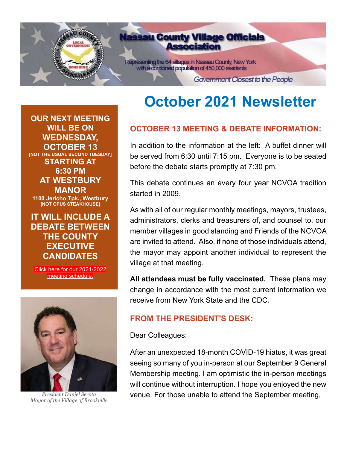

# **October 2021 Newsletter**

# **OCTOBER 13 MEETING & DEBATE INFORMATION:**

In addition to the information at the left: A buffet dinner will be served from 6:30 until 7:15 pm. Everyone is to be seated before the debate starts promptly at 7:30 pm.

This debate continues an every four year NCVOA tradition started in 2009.

As with all of our regular monthly meetings, mayors, trustees, administrators, clerks and treasurers of, and counsel to, our member villages in good standing and Friends of the NCVOA are invited to attend. Also, if none of those individuals attend, the mayor may appoint another individual to represent the village at that meeting.

**All attendees must be fully vaccinated.** These plans may change in accordance with the most current information we receive from New York State and the CDC**.**

#### **FROM THE PRESIDENT'S DESK:**

Dear Colleagues:

After an unexpected 18-month COVID-19 hiatus, it was great seeing so many of you in-person at our September 9 General Membership meeting. I am optimistic the in-person meetings will continue without interruption. I hope you enjoyed the new venue. For those unable to attend the September meeting,

**OUR NEXT MEETING WILL BE ON WEDNESDAY, OCTOBER 13 [NOT THE USUAL SECOND TUESDAY] STARTING AT 6:30 PM AT WESTBURY MANOR 1100 Jericho Tpk., Westbury [NOT OPUS STEAKHOUSE]**

# **IT WILL INCLUDE A DEBATE BETWEEN THE COUNTY EXECUTIVE CANDIDATES**

[Click here for our 2021-2022](http://ncvoa.org/wp-content/uploads/sites/96/2021/06/2021-2022-NCVOA-MEMBERSHIP-MEETING-SCHEDULE.pdf)  [meeting schedule.](http://ncvoa.org/wp-content/uploads/sites/96/2021/06/2021-2022-NCVOA-MEMBERSHIP-MEETING-SCHEDULE.pdf)



*President Daniel Serota Mayor of the Village of Brookville*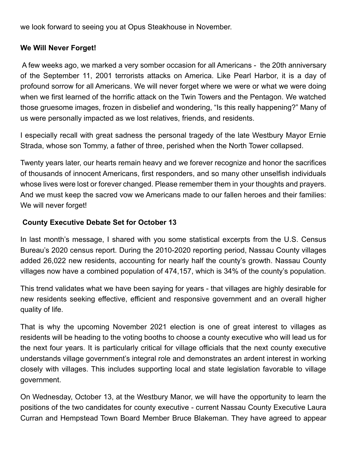we look forward to seeing you at Opus Steakhouse in November.

#### **We Will Never Forget!**

A few weeks ago, we marked a very somber occasion for all Americans - the 20th anniversary of the September 11, 2001 terrorists attacks on America. Like Pearl Harbor, it is a day of profound sorrow for all Americans. We will never forget where we were or what we were doing when we first learned of the horrific attack on the Twin Towers and the Pentagon. We watched those gruesome images, frozen in disbelief and wondering, "Is this really happening?" Many of us were personally impacted as we lost relatives, friends, and residents.

I especially recall with great sadness the personal tragedy of the late Westbury Mayor Ernie Strada, whose son Tommy, a father of three, perished when the North Tower collapsed.

Twenty years later, our hearts remain heavy and we forever recognize and honor the sacrifices of thousands of innocent Americans, first responders, and so many other unselfish individuals whose lives were lost or forever changed. Please remember them in your thoughts and prayers. And we must keep the sacred vow we Americans made to our fallen heroes and their families: We will never forget!

#### **County Executive Debate Set for October 13**

In last month's message, I shared with you some statistical excerpts from the U.S. Census Bureau's 2020 census report. During the 2010-2020 reporting period, Nassau County villages added 26,022 new residents, accounting for nearly half the county's growth. Nassau County villages now have a combined population of 474,157, which is 34% of the county's population.

This trend validates what we have been saying for years - that villages are highly desirable for new residents seeking effective, efficient and responsive government and an overall higher quality of life.

That is why the upcoming November 2021 election is one of great interest to villages as residents will be heading to the voting booths to choose a county executive who will lead us for the next four years. It is particularly critical for village officials that the next county executive understands village government's integral role and demonstrates an ardent interest in working closely with villages. This includes supporting local and state legislation favorable to village government.

On Wednesday, October 13, at the Westbury Manor, we will have the opportunity to learn the positions of the two candidates for county executive - current Nassau County Executive Laura Curran and Hempstead Town Board Member Bruce Blakeman. They have agreed to appear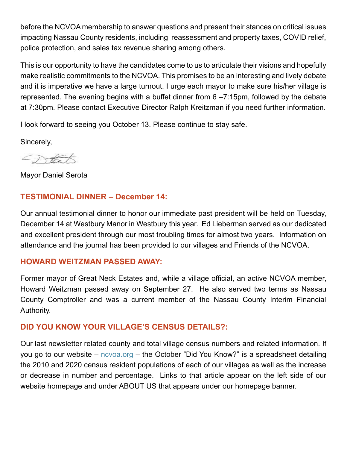before the NCVOA membership to answer questions and present their stances on critical issues impacting Nassau County residents, including reassessment and property taxes, COVID relief, police protection, and sales tax revenue sharing among others.

This is our opportunity to have the candidates come to us to articulate their visions and hopefully make realistic commitments to the NCVOA. This promises to be an interesting and lively debate and it is imperative we have a large turnout. I urge each mayor to make sure his/her village is represented. The evening begins with a buffet dinner from 6 –7:15pm, followed by the debate at 7:30pm. Please contact Executive Director Ralph Kreitzman if you need further information.

I look forward to seeing you October 13. Please continue to stay safe.

Sincerely,

Nata

Mayor Daniel Serota

# **TESTIMONIAL DINNER – December 14:**

Our annual testimonial dinner to honor our immediate past president will be held on Tuesday, December 14 at Westbury Manor in Westbury this year. Ed Lieberman served as our dedicated and excellent president through our most troubling times for almost two years. Information on attendance and the journal has been provided to our villages and Friends of the NCVOA.

# **HOWARD WEITZMAN PASSED AWAY:**

Former mayor of Great Neck Estates and, while a village official, an active NCVOA member, Howard Weitzman passed away on September 27. He also served two terms as Nassau County Comptroller and was a current member of the Nassau County Interim Financial Authority.

# **DID YOU KNOW YOUR VILLAGE'S CENSUS DETAILS?:**

Our last newsletter related county and total village census numbers and related information. If you go to our website – [ncvoa.org](http://www.ncvoa.org/) – the October "Did You Know?" is a spreadsheet detailing the 2010 and 2020 census resident populations of each of our villages as well as the increase or decrease in number and percentage. Links to that article appear on the left side of our website homepage and under ABOUT US that appears under our homepage banner.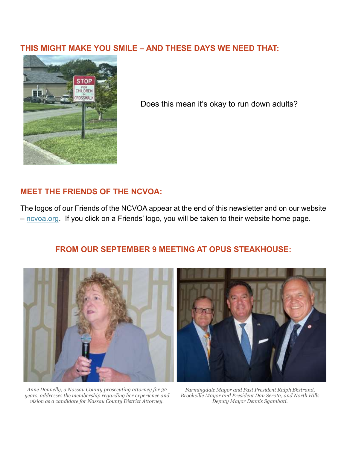#### **THIS MIGHT MAKE YOU SMILE – AND THESE DAYS WE NEED THAT:**



Does this mean it's okay to run down adults?

# **MEET THE FRIENDS OF THE NCVOA:**

The logos of our Friends of the NCVOA appear at the end of this newsletter and on our website – [ncvoa.org.](http://www.ncvoa.org/) If you click on a Friends' logo, you will be taken to their website home page.

#### **FROM OUR SEPTEMBER 9 MEETING AT OPUS STEAKHOUSE:**



*Anne Donnelly, a Nassau County prosecuting attorney for 32 years, addresses the membership regarding her experience and vision as a candidate for Nassau County District Attorney.*

*Farmingdale Mayor and Past President Ralph Ekstrand, Brookville Mayor and President Dan Serota, and North Hills Deputy Mayor Dennis Sgambati.*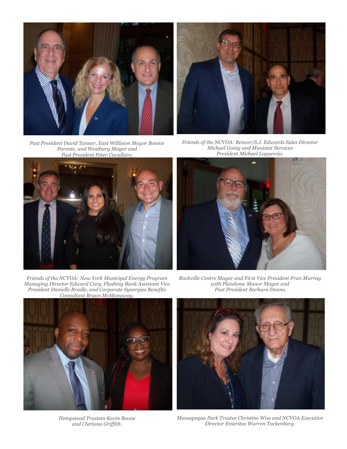

*Past President David Tanner, East Williston Mayor Bonnie Parente, and Westbury Mayor and Past President Peter Cavallaro.*



*Friends of the NCVOA: New York Municipal Energy Program Managing Director Edward Cary, Flushing Bank Assistant Vice President Danielle Bradle, and Corporate Synergies Benefits Consultant Bryan McManaway.*



*Friends of the NCVOA: Bencor/S.J. Edwards Sales Director Michael Going and Munistat Services President Michael Loguercio.*



*Rockville Centre Mayor and First Vice President Fran Murray with Plandome Manor Mayor and Past President Barbara Donno.*



*Hempstead Trustees Kevin Boone and Clariona Griffith.*



*Massapequa Park Trustee Christine Wiss and NCVOA Executive Director Emeritus Warren Tackenberg.*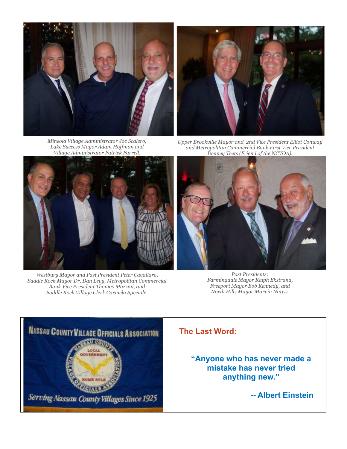





*Upper Brookville Mayor and 2nd Vice President Elliot Conway and Metropolitan Commercial Bank First Vice President Denney Teets (Friend of the NCVOA).*



*Westbury Mayor and Past President Peter Cavallaro, Saddle Rock Mayor Dr. Dan Levy, Metropolitan Commercial Bank Vice President Thomas Mazzini, and Saddle Rock Village Clerk Carmela Speciale.*



*Past Presidents: Farmingdale Mayor Ralph Ekstrand, Freeport Mayor Bob Kennedy, and North Hills Mayor Marvin Natiss.*



#### **The Last Word:**

**"Anyone who has never made a mistake has never tried anything new."** 

 **-- Albert Einstein**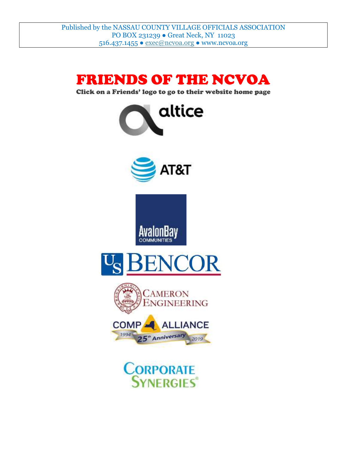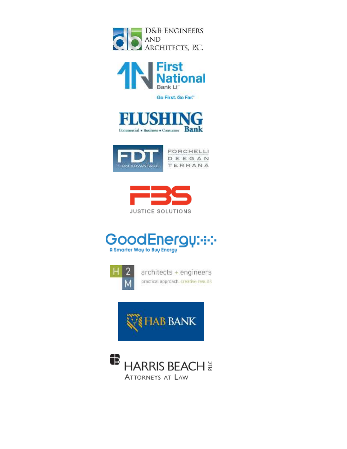



Go First. Go Far."











architects + engineers practical approach, creative results.



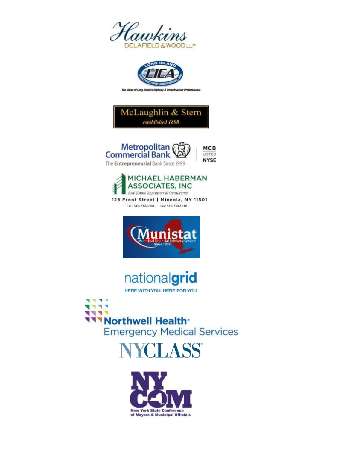





**MCB** LISTED







nationalgrid

HERE WITH YOU, HERE FOR YOU.

÷ **TTTNorthwell Health Emergency Medical Services**